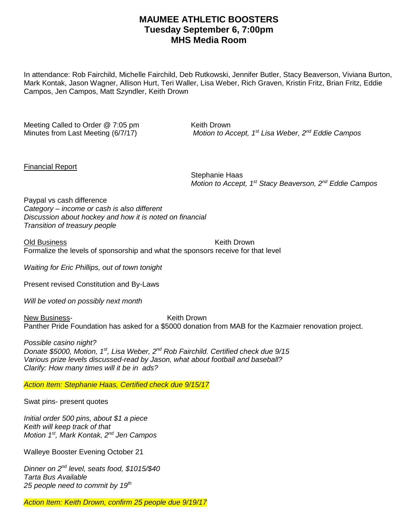## **MAUMEE ATHLETIC BOOSTERS Tuesday September 6, 7:00pm MHS Media Room**

In attendance: Rob Fairchild, Michelle Fairchild, Deb Rutkowski, Jennifer Butler, Stacy Beaverson, Viviana Burton, Mark Kontak, Jason Wagner, Allison Hurt, Teri Waller, Lisa Weber, Rich Graven, Kristin Fritz, Brian Fritz, Eddie Campos, Jen Campos, Matt Szyndler, Keith Drown

Meeting Called to Order @ 7:05 pm Keith Drown Minutes from Last Meeting (6/7/17)

*Motion to Accept, 1<sup>st</sup> Lisa Weber, 2<sup>nd</sup> Eddie Campos* 

Financial Report

Stephanie Haas *Motion to Accept, 1 st Stacy Beaverson, 2nd Eddie Campos*

Paypal vs cash difference *Category – income or cash is also different Discussion about hockey and how it is noted on financial Transition of treasury people*

Old Business **Keith Drown** Formalize the levels of sponsorship and what the sponsors receive for that level

*Waiting for Eric Phillips, out of town tonight*

Present revised Constitution and By-Laws

*Will be voted on possibly next month*

New Business-<br>
New Business-<br>
New Keith Drown Panther Pride Foundation has asked for a \$5000 donation from MAB for the Kazmaier renovation project.

*Possible casino night? Donate \$5000, Motion, 1st, Lisa Weber, 2nd Rob Fairchild. Certified check due 9/15 Various prize levels discussed-read by Jason, what about football and baseball? Clarify: How many times will it be in ads?* 

*Action Item: Stephanie Haas, Certified check due 9/15/17*

Swat pins- present quotes

*Initial order 500 pins, about \$1 a piece Keith will keep track of that Motion 1st, Mark Kontak, 2nd Jen Campos*

Walleye Booster Evening October 21

*Dinner on 2nd level, seats food, \$1015/\$40 Tarta Bus Available 25 people need to commit by 19th*

*Action Item: Keith Drown, confirm 25 people due 9/19/17*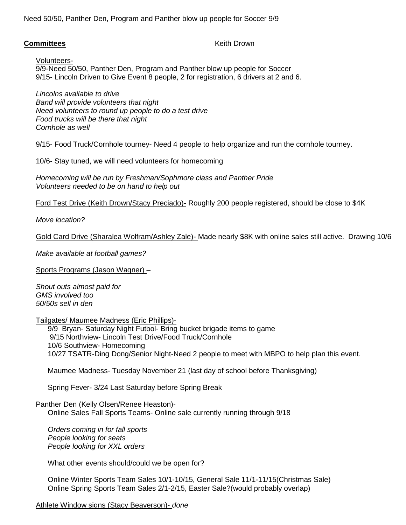Need 50/50, Panther Den, Program and Panther blow up people for Soccer 9/9

## **Committees Committees Keith Drown**

Volunteers-9/9-Need 50/50, Panther Den, Program and Panther blow up people for Soccer 9/15- Lincoln Driven to Give Event 8 people, 2 for registration, 6 drivers at 2 and 6.

*Lincolns available to drive Band will provide volunteers that night Need volunteers to round up people to do a test drive Food trucks will be there that night Cornhole as well*

9/15- Food Truck/Cornhole tourney- Need 4 people to help organize and run the cornhole tourney.

10/6- Stay tuned, we will need volunteers for homecoming

*Homecoming will be run by Freshman/Sophmore class and Panther Pride Volunteers needed to be on hand to help out*

Ford Test Drive (Keith Drown/Stacy Preciado)- Roughly 200 people registered, should be close to \$4K

*Move location?*

Gold Card Drive (Sharalea Wolfram/Ashley Zale)- Made nearly \$8K with online sales still active. Drawing 10/6

*Make available at football games?*

Sports Programs (Jason Wagner) –

*Shout outs almost paid for GMS involved too 50/50s sell in den*

Tailgates/ Maumee Madness (Eric Phillips)-

9/9 Bryan- Saturday Night Futbol- Bring bucket brigade items to game 9/15 Northview- Lincoln Test Drive/Food Truck/Cornhole 10/6 Southview- Homecoming 10/27 TSATR-Ding Dong/Senior Night-Need 2 people to meet with MBPO to help plan this event.

Maumee Madness- Tuesday November 21 (last day of school before Thanksgiving)

Spring Fever- 3/24 Last Saturday before Spring Break

Panther Den (Kelly Olsen/Renee Heaston)-

Online Sales Fall Sports Teams- Online sale currently running through 9/18

*Orders coming in for fall sports People looking for seats People looking for XXL orders*

What other events should/could we be open for?

Online Winter Sports Team Sales 10/1-10/15, General Sale 11/1-11/15(Christmas Sale) Online Spring Sports Team Sales 2/1-2/15, Easter Sale?(would probably overlap)

Athlete Window signs (Stacy Beaverson)- *done*